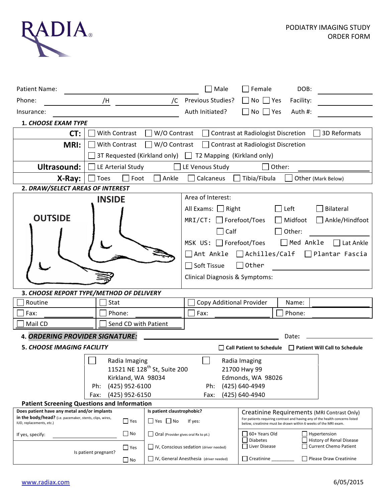

| <b>Patient Name:</b>                                                                                                                  |                                                                          |                                               | Male                                                                 | Female                                                                                                                                                                                         | DOB:            |                        |  |
|---------------------------------------------------------------------------------------------------------------------------------------|--------------------------------------------------------------------------|-----------------------------------------------|----------------------------------------------------------------------|------------------------------------------------------------------------------------------------------------------------------------------------------------------------------------------------|-----------------|------------------------|--|
| Phone:                                                                                                                                | /H                                                                       | /C                                            | Previous Studies?                                                    | $\Box$ No $\Box$ Yes                                                                                                                                                                           | Facility:       |                        |  |
| Insurance:                                                                                                                            |                                                                          |                                               | Auth Initiated?                                                      | $\Box$ No $\Box$ Yes                                                                                                                                                                           | Auth #:         |                        |  |
| <b>1. CHOOSE EXAM TYPE</b>                                                                                                            |                                                                          |                                               |                                                                      |                                                                                                                                                                                                |                 |                        |  |
| CT:                                                                                                                                   | With Contrast                                                            | W/O Contrast                                  |                                                                      | <b>Contrast at Radiologist Discretion</b>                                                                                                                                                      |                 | 3D Reformats           |  |
| <b>MRI:</b>                                                                                                                           | W/O Contrast<br>With Contrast                                            |                                               |                                                                      | $\Box$ Contrast at Radiologist Discretion                                                                                                                                                      |                 |                        |  |
|                                                                                                                                       | 3T Requested (Kirkland only) $\Box$ T2 Mapping (Kirkland only)           |                                               |                                                                      |                                                                                                                                                                                                |                 |                        |  |
| <b>Ultrasound:</b>                                                                                                                    | LE Arterial Study<br>$\Box$ LE Venous Study<br>Other:                    |                                               |                                                                      |                                                                                                                                                                                                |                 |                        |  |
| X-Ray:                                                                                                                                | Foot<br>Ankle<br>Calcaneus<br>Tibia/Fibula<br>Toes<br>Other (Mark Below) |                                               |                                                                      |                                                                                                                                                                                                |                 |                        |  |
| 2. DRAW/SELECT AREAS OF INTEREST                                                                                                      |                                                                          |                                               |                                                                      |                                                                                                                                                                                                |                 |                        |  |
| <b>INSIDE</b>                                                                                                                         |                                                                          |                                               | Area of Interest:                                                    |                                                                                                                                                                                                |                 |                        |  |
|                                                                                                                                       |                                                                          |                                               | All Exams: Right                                                     |                                                                                                                                                                                                | $\Box$ Left     | Bilateral              |  |
| <b>OUTSIDE</b>                                                                                                                        |                                                                          |                                               | $MRI/CT:$ Forefoot/Toes                                              | $\mathbf{L}$                                                                                                                                                                                   | Midfoot         | $\Box$ Ankle/Hindfoot  |  |
|                                                                                                                                       |                                                                          |                                               | $\Box$ Calf<br>Other:                                                |                                                                                                                                                                                                |                 |                        |  |
|                                                                                                                                       |                                                                          |                                               | $\Box$ Med Ankle<br>MSK $US: \Box$ Forefoot/Toes<br>$\Box$ Lat Ankle |                                                                                                                                                                                                |                 |                        |  |
|                                                                                                                                       |                                                                          |                                               | $\Box$ Achilles/Calf $\Box$ Plantar Fascia<br>Ant Ankle              |                                                                                                                                                                                                |                 |                        |  |
|                                                                                                                                       |                                                                          |                                               | $\Box$ Other<br>Soft Tissue                                          |                                                                                                                                                                                                |                 |                        |  |
|                                                                                                                                       |                                                                          |                                               | Clinical Diagnosis & Symptoms:                                       |                                                                                                                                                                                                |                 |                        |  |
|                                                                                                                                       |                                                                          |                                               |                                                                      |                                                                                                                                                                                                |                 |                        |  |
| 3. CHOOSE REPORT TYPE/METHOD OF DELIVERY                                                                                              |                                                                          |                                               |                                                                      |                                                                                                                                                                                                |                 |                        |  |
| Stat<br>Routine<br>Phone:<br>Fax:                                                                                                     |                                                                          |                                               | Copy Additional Provider<br>Fax:                                     |                                                                                                                                                                                                | Name:<br>Phone: |                        |  |
| Mail CD                                                                                                                               |                                                                          |                                               |                                                                      |                                                                                                                                                                                                |                 |                        |  |
| Send CD with Patient                                                                                                                  |                                                                          |                                               |                                                                      |                                                                                                                                                                                                |                 |                        |  |
| <b>4. ORDERING PROVIDER SIGNATURE:</b><br>Date:                                                                                       |                                                                          |                                               |                                                                      |                                                                                                                                                                                                |                 |                        |  |
| <b>5. CHOOSE IMAGING FACILITY</b><br>$\Box$ Call Patient to Schedule $\Box$ Patient Will Call to Schedule                             |                                                                          |                                               |                                                                      |                                                                                                                                                                                                |                 |                        |  |
| Radia Imaging<br>Radia Imaging<br>11521 NE 128 <sup>th</sup> St, Suite 200                                                            |                                                                          |                                               |                                                                      |                                                                                                                                                                                                |                 |                        |  |
|                                                                                                                                       | 21700 Hwy 99<br>Edmonds, WA 98026                                        |                                               |                                                                      |                                                                                                                                                                                                |                 |                        |  |
| Kirkland, WA 98034<br>(425) 952-6100<br>Ph:                                                                                           |                                                                          |                                               | (425) 640-4949<br>Ph:                                                |                                                                                                                                                                                                |                 |                        |  |
| (425) 952-6150<br>Fax:                                                                                                                |                                                                          |                                               | (425) 640-4940<br>Fax:                                               |                                                                                                                                                                                                |                 |                        |  |
| <b>Patient Screening Questions and Information</b>                                                                                    |                                                                          |                                               |                                                                      |                                                                                                                                                                                                |                 |                        |  |
| Does patient have any metal and/or implants<br>Is patient claustrophobic?<br>in the body/head? (i.e. pacemaker, stents, clips, wires, |                                                                          |                                               |                                                                      | Creatinine Requirements (MRI Contrast Only)<br>For patients requiring contrast and having any of the health concerns listed<br>below, creatinine must be drawn within 6 weeks of the MRI exam. |                 |                        |  |
| $\Box$ Yes<br>IUD, replacements, etc.)                                                                                                |                                                                          | $\Box$ Yes $\Box$ No<br>If yes:               |                                                                      |                                                                                                                                                                                                |                 |                        |  |
| If yes, specify:                                                                                                                      | $\square$ No                                                             | $\Box$ Oral (Provider gives oral Rx to pt.)   |                                                                      | 60+ Years Old                                                                                                                                                                                  |                 | Hypertension           |  |
|                                                                                                                                       | $\Box$ Yes                                                               | $\Box$ IV, Conscious sedation (driver needed) |                                                                      | <b>Diabetes</b><br>History of Renal Disease<br>Liver Disease<br><b>Current Chemo Patient</b>                                                                                                   |                 |                        |  |
|                                                                                                                                       | Is patient pregnant?<br>$\Box$ No                                        |                                               | IV, General Anesthesia (driver needed)                               | $\Box$ Creatinine                                                                                                                                                                              |                 | Please Draw Creatinine |  |